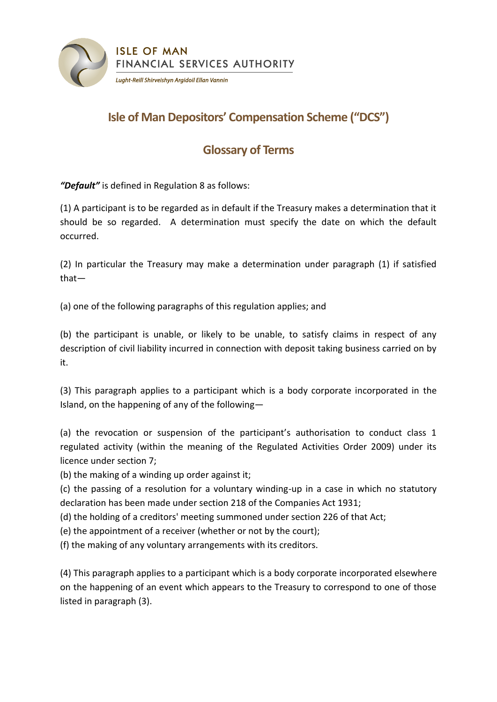

## **Isle of Man Depositors' Compensation Scheme ("DCS")**

## **Glossary of Terms**

*"Default"* is defined in Regulation 8 as follows:

(1) A participant is to be regarded as in default if the Treasury makes a determination that it should be so regarded. A determination must specify the date on which the default occurred.

(2) In particular the Treasury may make a determination under paragraph (1) if satisfied that—

(a) one of the following paragraphs of this regulation applies; and

(b) the participant is unable, or likely to be unable, to satisfy claims in respect of any description of civil liability incurred in connection with deposit taking business carried on by it.

(3) This paragraph applies to a participant which is a body corporate incorporated in the Island, on the happening of any of the following—

(a) the revocation or suspension of the participant's authorisation to conduct class 1 regulated activity (within the meaning of the Regulated Activities Order 2009) under its licence under section 7;

(b) the making of a winding up order against it;

(c) the passing of a resolution for a voluntary winding-up in a case in which no statutory declaration has been made under section 218 of the Companies Act 1931;

(d) the holding of a creditors' meeting summoned under section 226 of that Act;

(e) the appointment of a receiver (whether or not by the court);

(f) the making of any voluntary arrangements with its creditors.

(4) This paragraph applies to a participant which is a body corporate incorporated elsewhere on the happening of an event which appears to the Treasury to correspond to one of those listed in paragraph (3).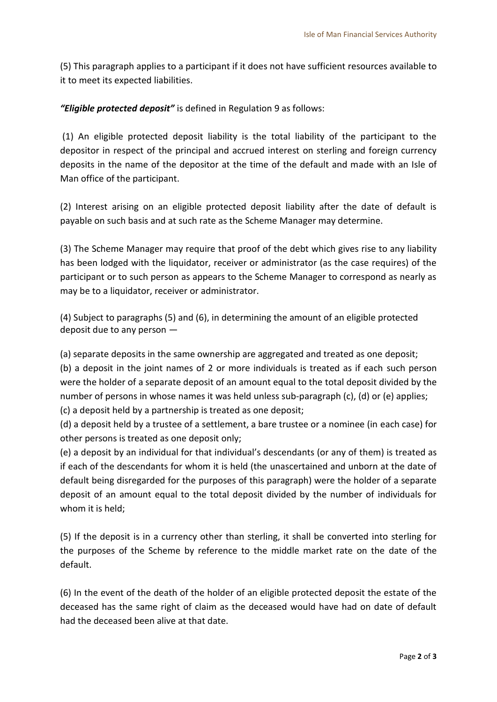(5) This paragraph applies to a participant if it does not have sufficient resources available to it to meet its expected liabilities.

*"Eligible protected deposit"* is defined in Regulation 9 as follows:

(1) An eligible protected deposit liability is the total liability of the participant to the depositor in respect of the principal and accrued interest on sterling and foreign currency deposits in the name of the depositor at the time of the default and made with an Isle of Man office of the participant.

(2) Interest arising on an eligible protected deposit liability after the date of default is payable on such basis and at such rate as the Scheme Manager may determine.

(3) The Scheme Manager may require that proof of the debt which gives rise to any liability has been lodged with the liquidator, receiver or administrator (as the case requires) of the participant or to such person as appears to the Scheme Manager to correspond as nearly as may be to a liquidator, receiver or administrator.

(4) Subject to paragraphs (5) and (6), in determining the amount of an eligible protected deposit due to any person —

(a) separate deposits in the same ownership are aggregated and treated as one deposit;

(b) a deposit in the joint names of 2 or more individuals is treated as if each such person were the holder of a separate deposit of an amount equal to the total deposit divided by the number of persons in whose names it was held unless sub-paragraph (c), (d) or (e) applies; (c) a deposit held by a partnership is treated as one deposit;

(d) a deposit held by a trustee of a settlement, a bare trustee or a nominee (in each case) for other persons is treated as one deposit only;

(e) a deposit by an individual for that individual's descendants (or any of them) is treated as if each of the descendants for whom it is held (the unascertained and unborn at the date of default being disregarded for the purposes of this paragraph) were the holder of a separate deposit of an amount equal to the total deposit divided by the number of individuals for whom it is held;

(5) If the deposit is in a currency other than sterling, it shall be converted into sterling for the purposes of the Scheme by reference to the middle market rate on the date of the default.

(6) In the event of the death of the holder of an eligible protected deposit the estate of the deceased has the same right of claim as the deceased would have had on date of default had the deceased been alive at that date.